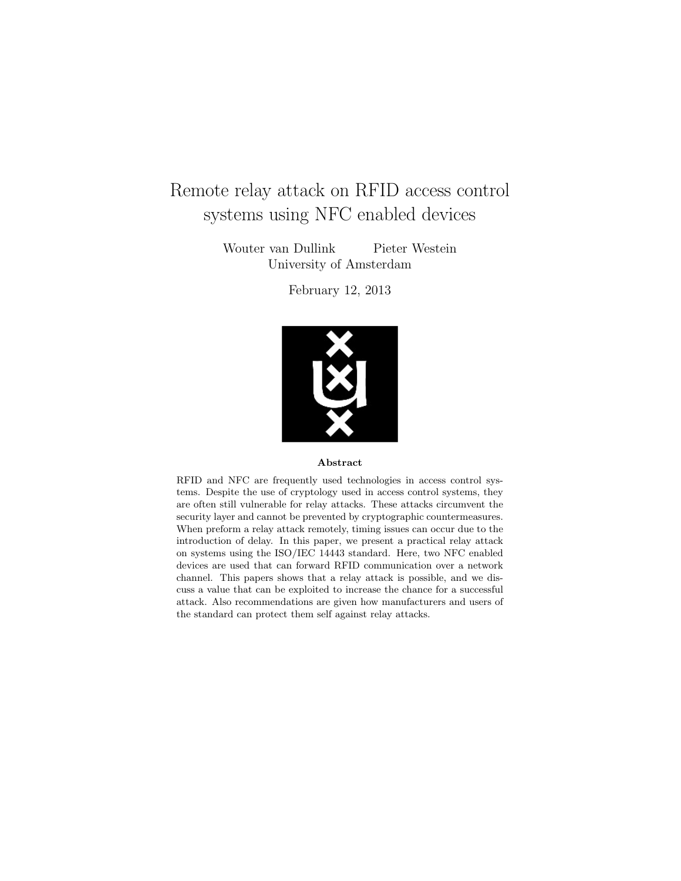# Remote relay attack on RFID access control systems using NFC enabled devices

Wouter van Dullink Pieter Westein University of Amsterdam

February 12, 2013



#### Abstract

RFID and NFC are frequently used technologies in access control systems. Despite the use of cryptology used in access control systems, they are often still vulnerable for relay attacks. These attacks circumvent the security layer and cannot be prevented by cryptographic countermeasures. When preform a relay attack remotely, timing issues can occur due to the introduction of delay. In this paper, we present a practical relay attack on systems using the ISO/IEC 14443 standard. Here, two NFC enabled devices are used that can forward RFID communication over a network channel. This papers shows that a relay attack is possible, and we discuss a value that can be exploited to increase the chance for a successful attack. Also recommendations are given how manufacturers and users of the standard can protect them self against relay attacks.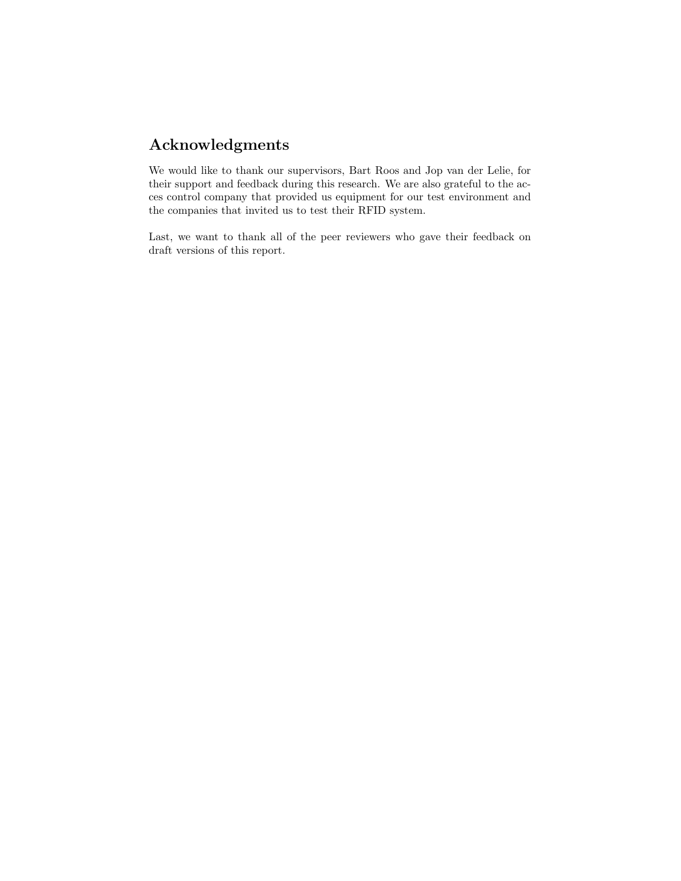# Acknowledgments

We would like to thank our supervisors, Bart Roos and Jop van der Lelie, for their support and feedback during this research. We are also grateful to the acces control company that provided us equipment for our test environment and the companies that invited us to test their RFID system.

Last, we want to thank all of the peer reviewers who gave their feedback on draft versions of this report.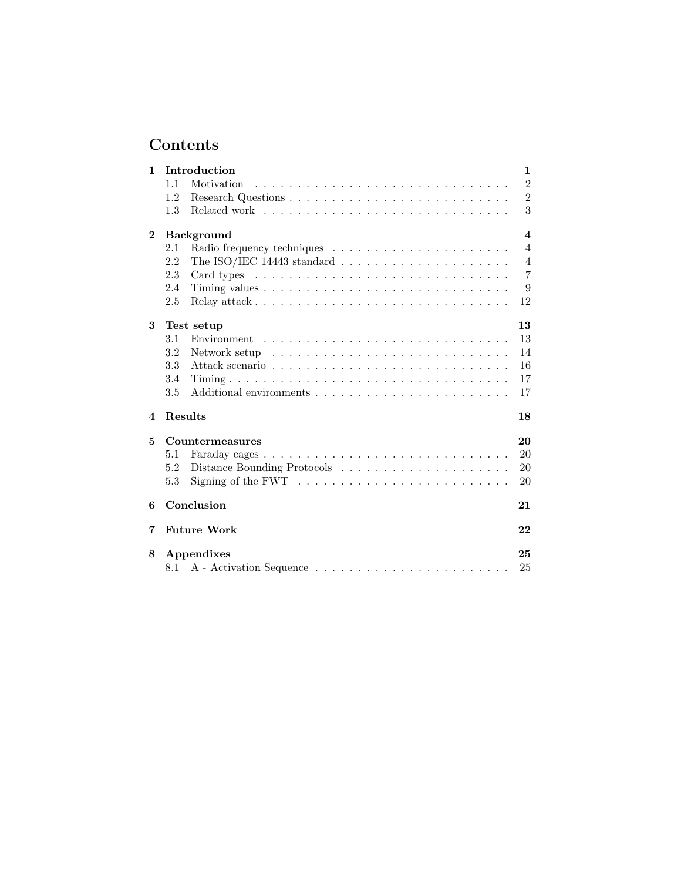# Contents

| 1        |                  | Introduction                                                                  | 1                |  |  |
|----------|------------------|-------------------------------------------------------------------------------|------------------|--|--|
|          | 1.1              | Motivation                                                                    | $\overline{2}$   |  |  |
|          | 1.2              |                                                                               | $\overline{2}$   |  |  |
|          | 1.3              |                                                                               | 3                |  |  |
| $\bf{2}$ |                  | <b>Background</b>                                                             | $\boldsymbol{4}$ |  |  |
|          | 2.1              |                                                                               | $\overline{4}$   |  |  |
|          | 2.2              | The ISO/IEC 14443 standard $\ldots \ldots \ldots \ldots \ldots \ldots \ldots$ | $\overline{4}$   |  |  |
|          | 2.3              |                                                                               | $\overline{7}$   |  |  |
|          | 2.4              |                                                                               | 9                |  |  |
|          | 2.5              |                                                                               | 12               |  |  |
| 3        |                  | Test setup                                                                    | 13               |  |  |
|          | 3.1              |                                                                               | 13               |  |  |
|          | 3.2              |                                                                               | 14               |  |  |
|          | 3.3              |                                                                               | 16               |  |  |
|          | 3.4              |                                                                               | 17               |  |  |
|          | 3.5              |                                                                               | 17               |  |  |
| 4        | Results          |                                                                               | 18               |  |  |
| 5        |                  | Countermeasures                                                               | 20               |  |  |
|          | 5.1              |                                                                               | 20               |  |  |
|          | 5.2              |                                                                               | 20               |  |  |
|          | 5.3              | Signing of the FWT $\dots \dots \dots \dots \dots \dots \dots \dots \dots$    | 20               |  |  |
| 6        | Conclusion<br>21 |                                                                               |                  |  |  |
| 7        |                  | <b>Future Work</b>                                                            | 22               |  |  |
| 8        |                  | Appendixes                                                                    | 25<br>25         |  |  |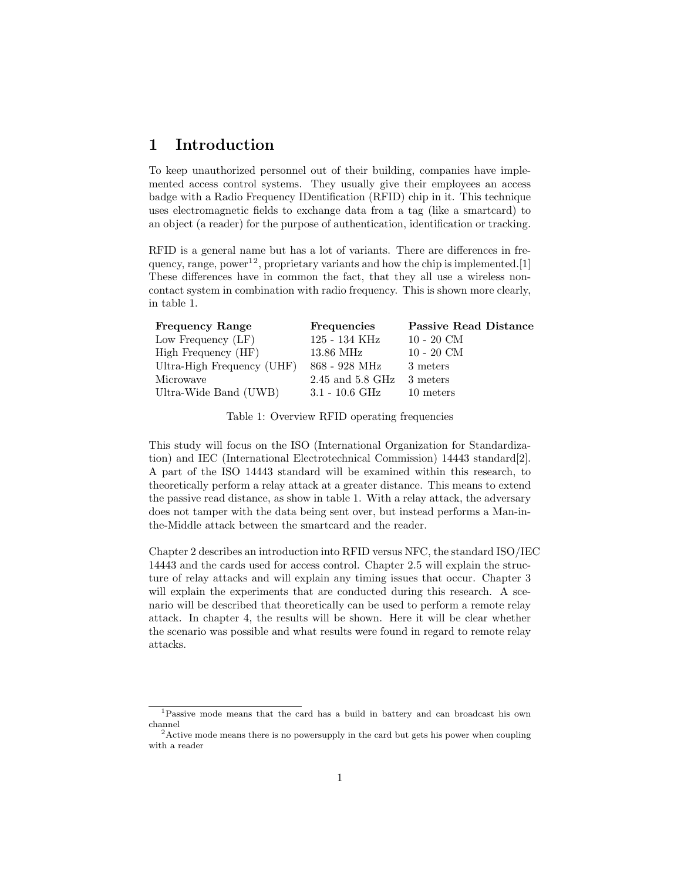## 1 Introduction

To keep unauthorized personnel out of their building, companies have implemented access control systems. They usually give their employees an access badge with a Radio Frequency IDentification (RFID) chip in it. This technique uses electromagnetic fields to exchange data from a tag (like a smartcard) to an object (a reader) for the purpose of authentication, identification or tracking.

RFID is a general name but has a lot of variants. There are differences in frequency, range, power<sup>12</sup>, proprietary variants and how the chip is implemented. [1] These differences have in common the fact, that they all use a wireless noncontact system in combination with radio frequency. This is shown more clearly, in table 1.

| <b>Frequency Range</b>     | <b>Frequencies</b>          | <b>Passive Read Distance</b> |
|----------------------------|-----------------------------|------------------------------|
| Low Frequency (LF)         | 125 - 134 KHz               | $10 - 20$ CM                 |
| High Frequency (HF)        | 13.86 MHz                   | $10 - 20$ CM                 |
| Ultra-High Frequency (UHF) | 868 - 928 MHz               | 3 meters                     |
| Microwave                  | $2.45$ and $5.8$ GHz        | 3 meters                     |
| Ultra-Wide Band (UWB)      | $3.1$ - $10.6\mathrm{~GHz}$ | 10 meters                    |

Table 1: Overview RFID operating frequencies

This study will focus on the ISO (International Organization for Standardization) and IEC (International Electrotechnical Commission) 14443 standard[2]. A part of the ISO 14443 standard will be examined within this research, to theoretically perform a relay attack at a greater distance. This means to extend the passive read distance, as show in table 1. With a relay attack, the adversary does not tamper with the data being sent over, but instead performs a Man-inthe-Middle attack between the smartcard and the reader.

Chapter 2 describes an introduction into RFID versus NFC, the standard ISO/IEC 14443 and the cards used for access control. Chapter 2.5 will explain the structure of relay attacks and will explain any timing issues that occur. Chapter 3 will explain the experiments that are conducted during this research. A scenario will be described that theoretically can be used to perform a remote relay attack. In chapter 4, the results will be shown. Here it will be clear whether the scenario was possible and what results were found in regard to remote relay attacks.

<sup>1</sup>Passive mode means that the card has a build in battery and can broadcast his own channel

 $2$ Active mode means there is no powersupply in the card but gets his power when coupling with a reader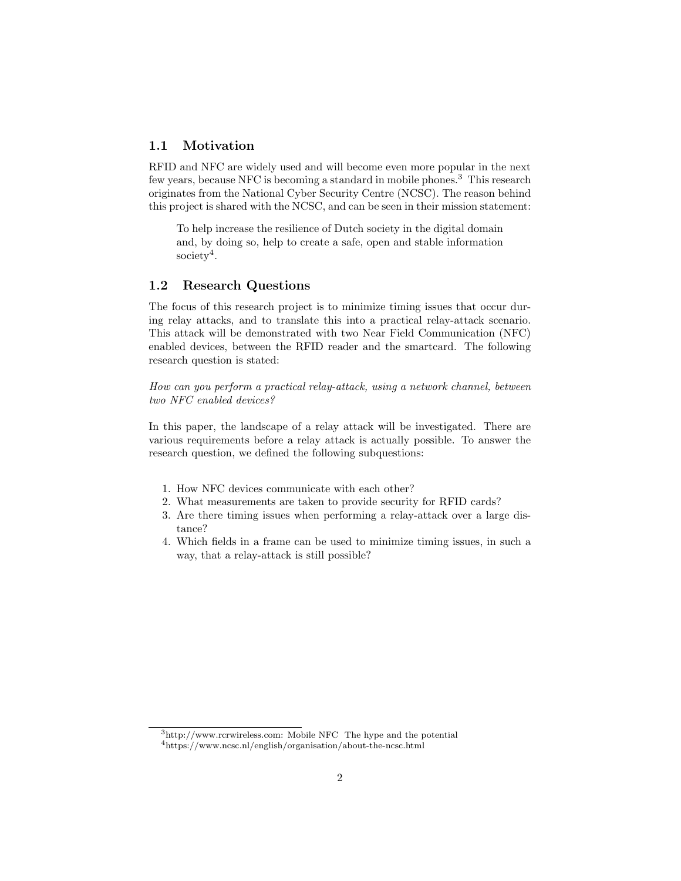### 1.1 Motivation

RFID and NFC are widely used and will become even more popular in the next few years, because NFC is becoming a standard in mobile phones.<sup>3</sup> This research originates from the National Cyber Security Centre (NCSC). The reason behind this project is shared with the NCSC, and can be seen in their mission statement:

To help increase the resilience of Dutch society in the digital domain and, by doing so, help to create a safe, open and stable information society<sup>4</sup>.

#### 1.2 Research Questions

The focus of this research project is to minimize timing issues that occur during relay attacks, and to translate this into a practical relay-attack scenario. This attack will be demonstrated with two Near Field Communication (NFC) enabled devices, between the RFID reader and the smartcard. The following research question is stated:

How can you perform a practical relay-attack, using a network channel, between two NFC enabled devices?

In this paper, the landscape of a relay attack will be investigated. There are various requirements before a relay attack is actually possible. To answer the research question, we defined the following subquestions:

- 1. How NFC devices communicate with each other?
- 2. What measurements are taken to provide security for RFID cards?
- 3. Are there timing issues when performing a relay-attack over a large distance?
- 4. Which fields in a frame can be used to minimize timing issues, in such a way, that a relay-attack is still possible?

<sup>3</sup>http://www.rcrwireless.com: Mobile NFC The hype and the potential

<sup>4</sup>https://www.ncsc.nl/english/organisation/about-the-ncsc.html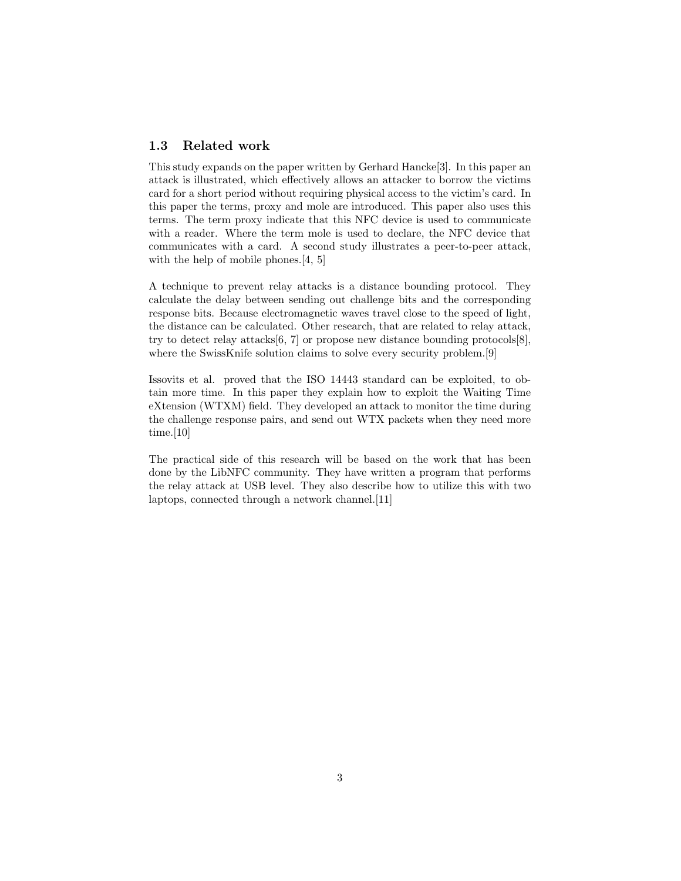### 1.3 Related work

This study expands on the paper written by Gerhard Hancke[3]. In this paper an attack is illustrated, which effectively allows an attacker to borrow the victims card for a short period without requiring physical access to the victim's card. In this paper the terms, proxy and mole are introduced. This paper also uses this terms. The term proxy indicate that this NFC device is used to communicate with a reader. Where the term mole is used to declare, the NFC device that communicates with a card. A second study illustrates a peer-to-peer attack, with the help of mobile phones.[4, 5]

A technique to prevent relay attacks is a distance bounding protocol. They calculate the delay between sending out challenge bits and the corresponding response bits. Because electromagnetic waves travel close to the speed of light, the distance can be calculated. Other research, that are related to relay attack, try to detect relay attacks  $[6, 7]$  or propose new distance bounding protocols  $[8]$ , where the SwissKnife solution claims to solve every security problem.[9]

Issovits et al. proved that the ISO 14443 standard can be exploited, to obtain more time. In this paper they explain how to exploit the Waiting Time eXtension (WTXM) field. They developed an attack to monitor the time during the challenge response pairs, and send out WTX packets when they need more time.[10]

The practical side of this research will be based on the work that has been done by the LibNFC community. They have written a program that performs the relay attack at USB level. They also describe how to utilize this with two laptops, connected through a network channel.[11]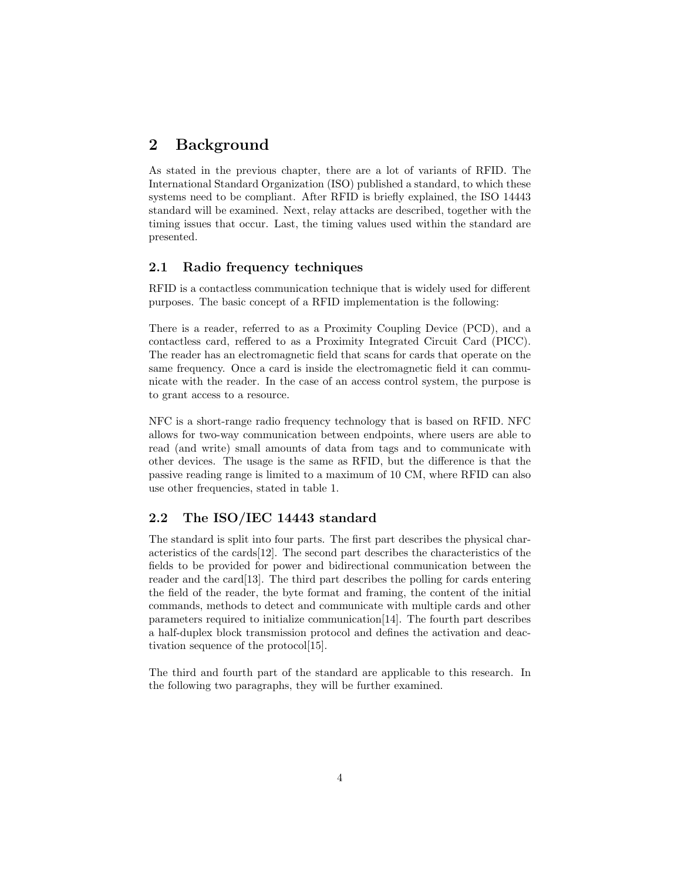# 2 Background

As stated in the previous chapter, there are a lot of variants of RFID. The International Standard Organization (ISO) published a standard, to which these systems need to be compliant. After RFID is briefly explained, the ISO 14443 standard will be examined. Next, relay attacks are described, together with the timing issues that occur. Last, the timing values used within the standard are presented.

### 2.1 Radio frequency techniques

RFID is a contactless communication technique that is widely used for different purposes. The basic concept of a RFID implementation is the following:

There is a reader, referred to as a Proximity Coupling Device (PCD), and a contactless card, reffered to as a Proximity Integrated Circuit Card (PICC). The reader has an electromagnetic field that scans for cards that operate on the same frequency. Once a card is inside the electromagnetic field it can communicate with the reader. In the case of an access control system, the purpose is to grant access to a resource.

NFC is a short-range radio frequency technology that is based on RFID. NFC allows for two-way communication between endpoints, where users are able to read (and write) small amounts of data from tags and to communicate with other devices. The usage is the same as RFID, but the difference is that the passive reading range is limited to a maximum of 10 CM, where RFID can also use other frequencies, stated in table 1.

### 2.2 The ISO/IEC 14443 standard

The standard is split into four parts. The first part describes the physical characteristics of the cards[12]. The second part describes the characteristics of the fields to be provided for power and bidirectional communication between the reader and the card[13]. The third part describes the polling for cards entering the field of the reader, the byte format and framing, the content of the initial commands, methods to detect and communicate with multiple cards and other parameters required to initialize communication[14]. The fourth part describes a half-duplex block transmission protocol and defines the activation and deactivation sequence of the protocol[15].

The third and fourth part of the standard are applicable to this research. In the following two paragraphs, they will be further examined.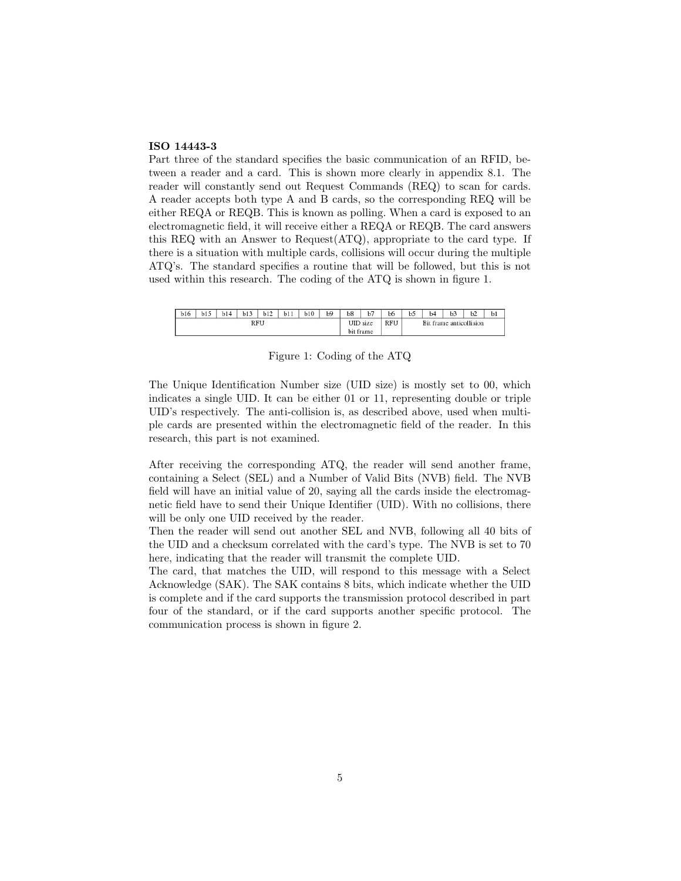#### ISO 14443-3

Part three of the standard specifies the basic communication of an RFID, between a reader and a card. This is shown more clearly in appendix 8.1. The reader will constantly send out Request Commands (REQ) to scan for cards. A reader accepts both type A and B cards, so the corresponding REQ will be either REQA or REQB. This is known as polling. When a card is exposed to an electromagnetic field, it will receive either a REQA or REQB. The card answers this REQ with an Answer to Request(ATQ), appropriate to the card type. If there is a situation with multiple cards, collisions will occur during the multiple ATQ's. The standard specifies a routine that will be followed, but this is not used within this research. The coding of the ATQ is shown in figure 1.

| b16 | .15<br>0 I J | b14 | b13 | b12 | b11 | b10        | b9            | b8         | b7 | b6           | b | b4            | b3 | b2 | b |
|-----|--------------|-----|-----|-----|-----|------------|---------------|------------|----|--------------|---|---------------|----|----|---|
| RFU |              |     |     |     |     | UID<br>bit | size<br>frame | <b>RFU</b> |    | Bit<br>frame |   | anticollision |    |    |   |

Figure 1: Coding of the ATQ

The Unique Identification Number size (UID size) is mostly set to 00, which indicates a single UID. It can be either 01 or 11, representing double or triple UID's respectively. The anti-collision is, as described above, used when multiple cards are presented within the electromagnetic field of the reader. In this research, this part is not examined.

After receiving the corresponding ATQ, the reader will send another frame, containing a Select (SEL) and a Number of Valid Bits (NVB) field. The NVB field will have an initial value of 20, saying all the cards inside the electromagnetic field have to send their Unique Identifier (UID). With no collisions, there will be only one UID received by the reader.

Then the reader will send out another SEL and NVB, following all 40 bits of the UID and a checksum correlated with the card's type. The NVB is set to 70 here, indicating that the reader will transmit the complete UID.

The card, that matches the UID, will respond to this message with a Select Acknowledge (SAK). The SAK contains 8 bits, which indicate whether the UID is complete and if the card supports the transmission protocol described in part four of the standard, or if the card supports another specific protocol. The communication process is shown in figure 2.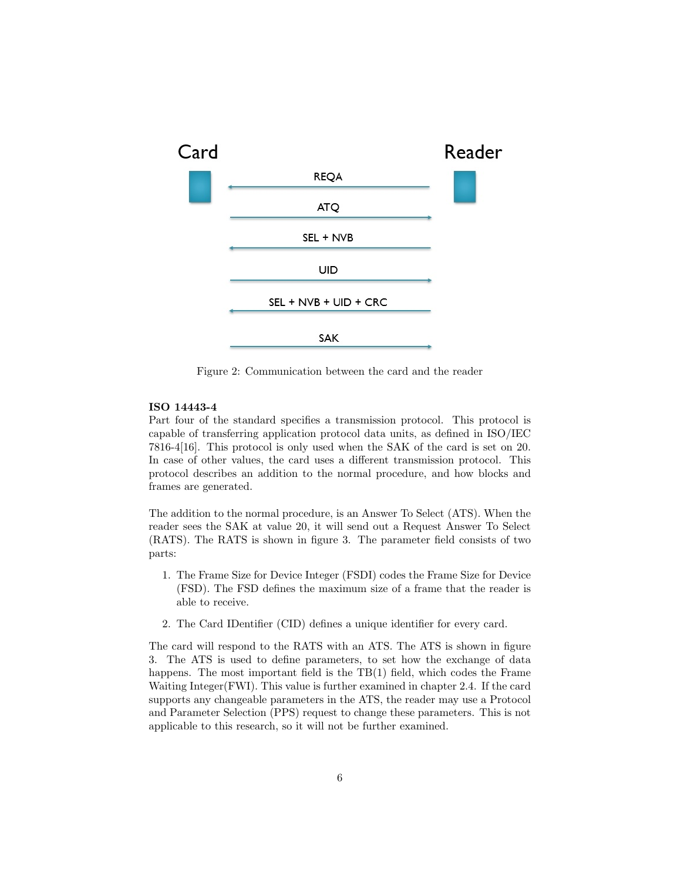

Figure 2: Communication between the card and the reader

#### ISO 14443-4

Part four of the standard specifies a transmission protocol. This protocol is capable of transferring application protocol data units, as defined in ISO/IEC 7816-4[16]. This protocol is only used when the SAK of the card is set on 20. In case of other values, the card uses a different transmission protocol. This protocol describes an addition to the normal procedure, and how blocks and frames are generated.

The addition to the normal procedure, is an Answer To Select (ATS). When the reader sees the SAK at value 20, it will send out a Request Answer To Select (RATS). The RATS is shown in figure 3. The parameter field consists of two parts:

- 1. The Frame Size for Device Integer (FSDI) codes the Frame Size for Device (FSD). The FSD defines the maximum size of a frame that the reader is able to receive.
- 2. The Card IDentifier (CID) defines a unique identifier for every card.

The card will respond to the RATS with an ATS. The ATS is shown in figure 3. The ATS is used to define parameters, to set how the exchange of data happens. The most important field is the TB(1) field, which codes the Frame Waiting Integer(FWI). This value is further examined in chapter 2.4. If the card supports any changeable parameters in the ATS, the reader may use a Protocol and Parameter Selection (PPS) request to change these parameters. This is not applicable to this research, so it will not be further examined.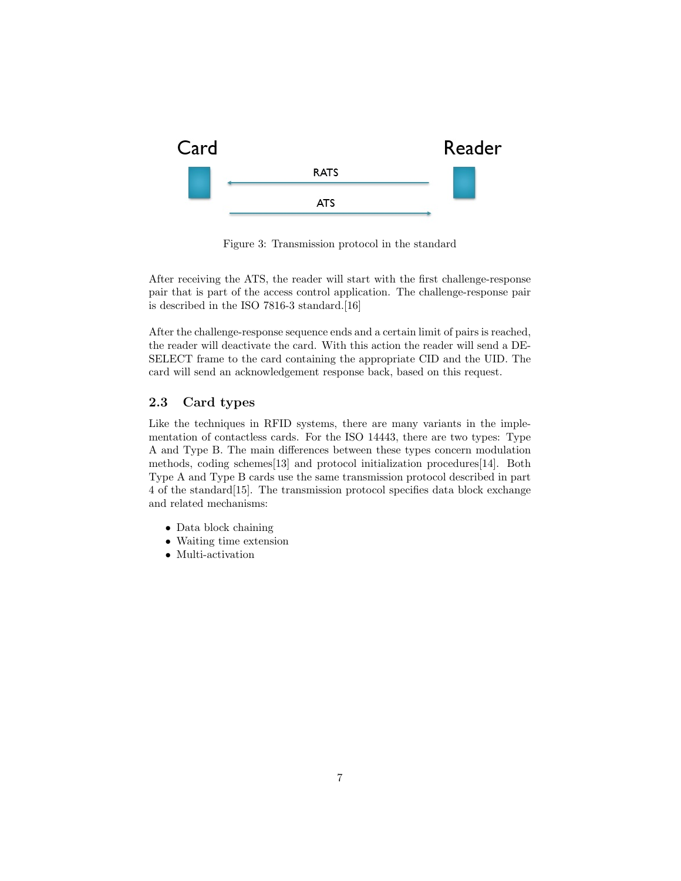

Figure 3: Transmission protocol in the standard

After receiving the ATS, the reader will start with the first challenge-response pair that is part of the access control application. The challenge-response pair is described in the ISO 7816-3 standard.[16]

After the challenge-response sequence ends and a certain limit of pairs is reached, the reader will deactivate the card. With this action the reader will send a DE-SELECT frame to the card containing the appropriate CID and the UID. The card will send an acknowledgement response back, based on this request.

### 2.3 Card types

Like the techniques in RFID systems, there are many variants in the implementation of contactless cards. For the ISO 14443, there are two types: Type A and Type B. The main differences between these types concern modulation methods, coding schemes[13] and protocol initialization procedures[14]. Both Type A and Type B cards use the same transmission protocol described in part 4 of the standard[15]. The transmission protocol specifies data block exchange and related mechanisms:

- Data block chaining
- Waiting time extension
- Multi-activation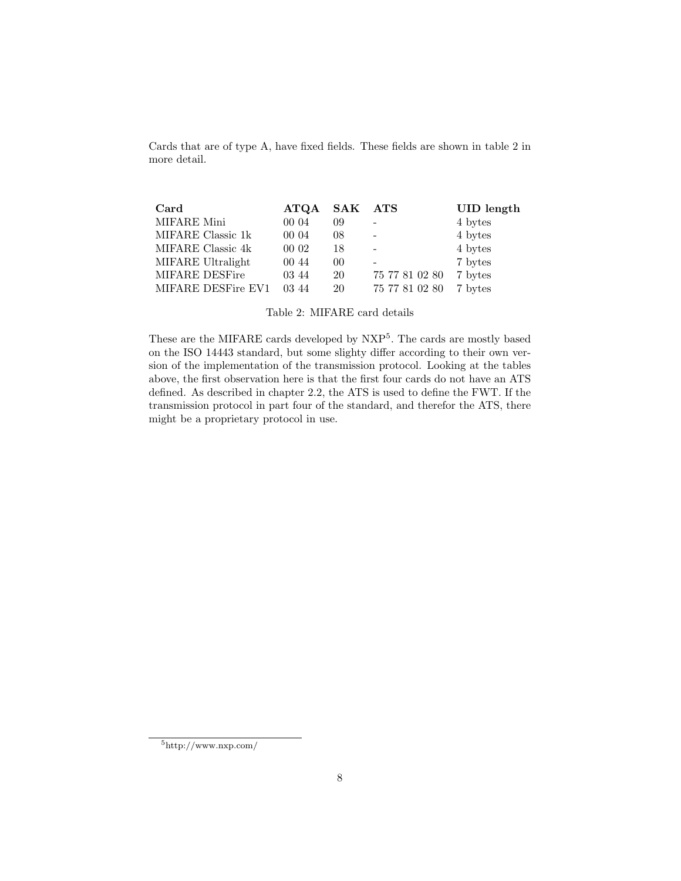Cards that are of type A, have fixed fields. These fields are shown in table 2 in more detail.

| Card               | $\bf ATQA$ | SAK ATS |                | <b>UID</b> length |
|--------------------|------------|---------|----------------|-------------------|
| MIFARE Mini        | 00 04      | 09      |                | 4 bytes           |
| MIFARE Classic 1k  | 00 04      | 08      |                | 4 bytes           |
| MIFARE Classic 4k  | 00 02      | 18      |                | 4 bytes           |
| MIFARE Ultralight  | 00 44      | 00      |                | 7 bytes           |
| MIFARE DESFire     | 03 44      | 20      | 75 77 81 02 80 | 7 bytes           |
| MIFARE DESFire EV1 | 03.44      | 20      | 75 77 81 02 80 | 7 bytes           |

Table 2: MIFARE card details

These are the MIFARE cards developed by NXP<sup>5</sup>. The cards are mostly based on the ISO 14443 standard, but some slighty differ according to their own version of the implementation of the transmission protocol. Looking at the tables above, the first observation here is that the first four cards do not have an ATS defined. As described in chapter 2.2, the ATS is used to define the FWT. If the transmission protocol in part four of the standard, and therefor the ATS, there might be a proprietary protocol in use.

 $5\,\mathrm{http://www.nxp.com/}$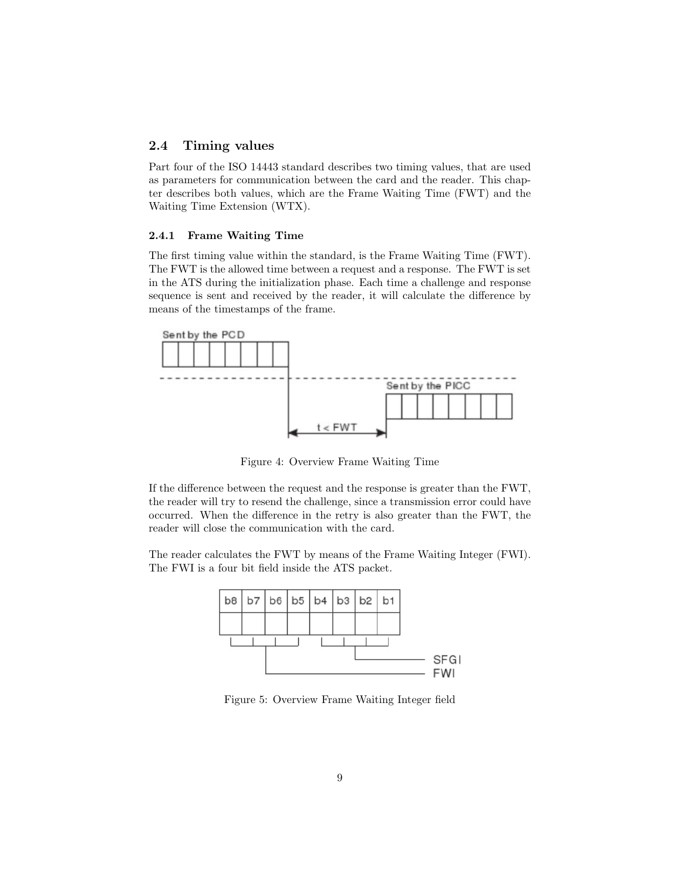### 2.4 Timing values

Part four of the ISO 14443 standard describes two timing values, that are used as parameters for communication between the card and the reader. This chapter describes both values, which are the Frame Waiting Time (FWT) and the Waiting Time Extension (WTX).

#### 2.4.1 Frame Waiting Time

The first timing value within the standard, is the Frame Waiting Time (FWT). The FWT is the allowed time between a request and a response. The FWT is set in the ATS during the initialization phase. Each time a challenge and response sequence is sent and received by the reader, it will calculate the difference by means of the timestamps of the frame.



Figure 4: Overview Frame Waiting Time

If the difference between the request and the response is greater than the FWT, the reader will try to resend the challenge, since a transmission error could have occurred. When the difference in the retry is also greater than the FWT, the reader will close the communication with the card.

The reader calculates the FWT by means of the Frame Waiting Integer (FWI). The FWI is a four bit field inside the ATS packet.



Figure 5: Overview Frame Waiting Integer field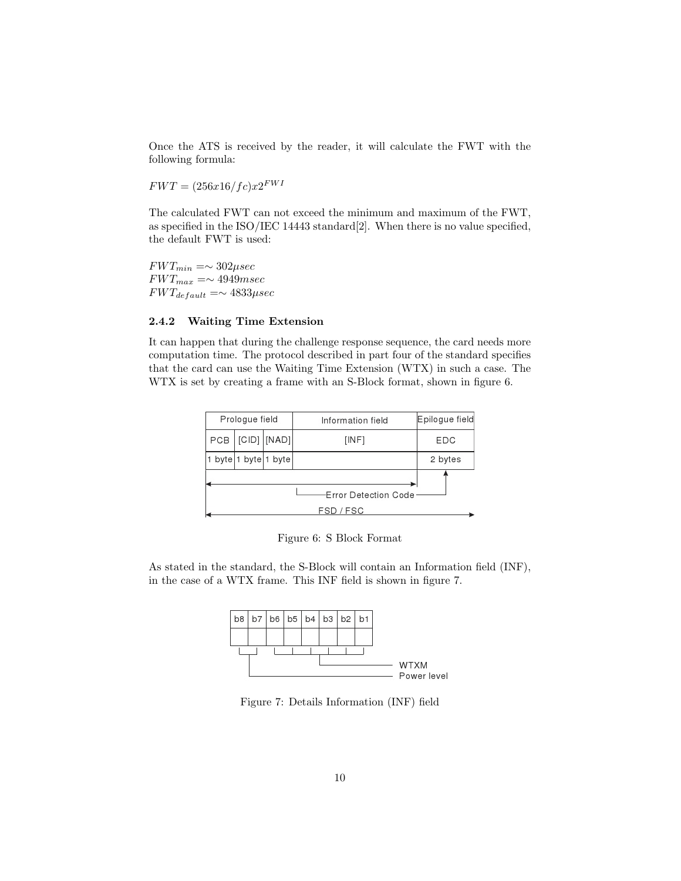Once the ATS is received by the reader, it will calculate the FWT with the following formula:

 $FWT = (256x16/fc)x2^{FWT}$ 

The calculated FWT can not exceed the minimum and maximum of the FWT, as specified in the ISO/IEC 14443 standard[2]. When there is no value specified, the default FWT is used:

 $FWT_{min} = \sim 302 \mu sec$  $FWT_{max} = \sim 4949msec$  $FWT_{default} = \sim 4833 \mu sec$ 

#### 2.4.2 Waiting Time Extension

It can happen that during the challenge response sequence, the card needs more computation time. The protocol described in part four of the standard specifies that the card can use the Waiting Time Extension (WTX) in such a case. The WTX is set by creating a frame with an S-Block format, shown in figure 6.

|     | Prologue field     |              | Information field                 | Epilogue field |  |  |
|-----|--------------------|--------------|-----------------------------------|----------------|--|--|
| PCB |                    | [CID]  [NAD] | [INF]                             | EDC            |  |  |
|     | byte 1 byte 1 byte |              |                                   | 2 bytes        |  |  |
|     |                    |              | Error Detection Code<br>FSD / FSC |                |  |  |

Figure 6: S Block Format

As stated in the standard, the S-Block will contain an Information field (INF), in the case of a WTX frame. This INF field is shown in figure 7.



Figure 7: Details Information (INF) field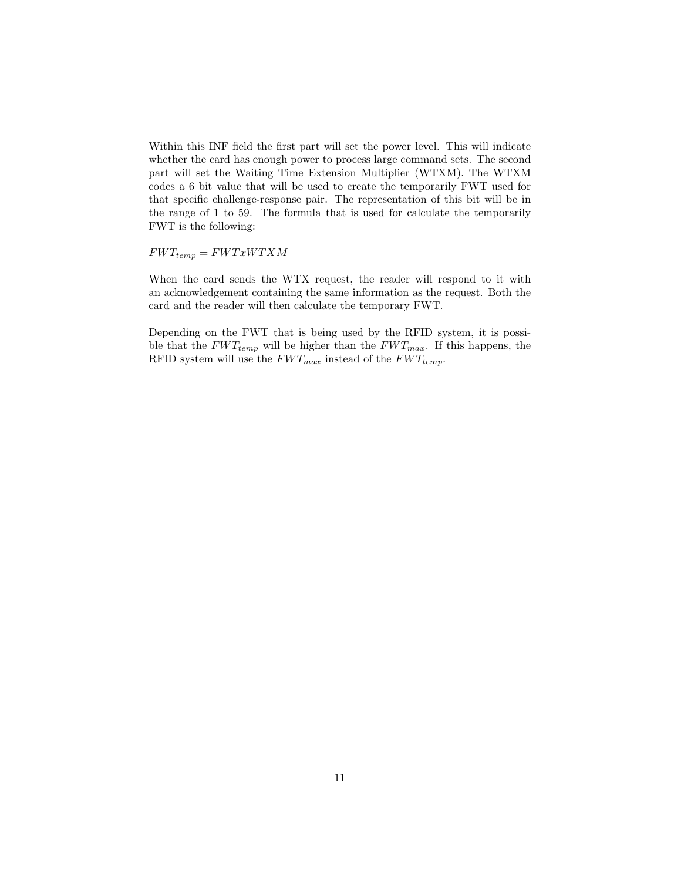Within this INF field the first part will set the power level. This will indicate whether the card has enough power to process large command sets. The second part will set the Waiting Time Extension Multiplier (WTXM). The WTXM codes a 6 bit value that will be used to create the temporarily FWT used for that specific challenge-response pair. The representation of this bit will be in the range of 1 to 59. The formula that is used for calculate the temporarily FWT is the following:

 $FWT_{temp} = FWTxWTXM$ 

When the card sends the WTX request, the reader will respond to it with an acknowledgement containing the same information as the request. Both the card and the reader will then calculate the temporary FWT.

Depending on the FWT that is being used by the RFID system, it is possible that the  $FWT_{temp}$  will be higher than the  $FWT_{max}$ . If this happens, the RFID system will use the  $FWT_{max}$  instead of the  $FWT_{temp}$ .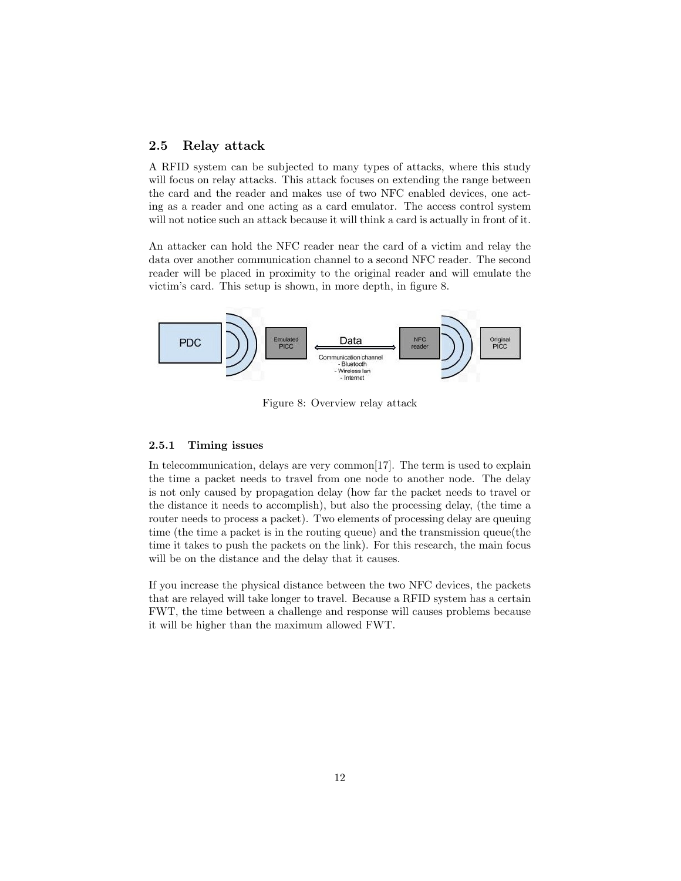### 2.5 Relay attack

A RFID system can be subjected to many types of attacks, where this study will focus on relay attacks. This attack focuses on extending the range between the card and the reader and makes use of two NFC enabled devices, one acting as a reader and one acting as a card emulator. The access control system will not notice such an attack because it will think a card is actually in front of it.

An attacker can hold the NFC reader near the card of a victim and relay the data over another communication channel to a second NFC reader. The second reader will be placed in proximity to the original reader and will emulate the victim's card. This setup is shown, in more depth, in figure 8.



Figure 8: Overview relay attack

#### 2.5.1 Timing issues

In telecommunication, delays are very common<sup>[17]</sup>. The term is used to explain the time a packet needs to travel from one node to another node. The delay is not only caused by propagation delay (how far the packet needs to travel or the distance it needs to accomplish), but also the processing delay, (the time a router needs to process a packet). Two elements of processing delay are queuing time (the time a packet is in the routing queue) and the transmission queue(the time it takes to push the packets on the link). For this research, the main focus will be on the distance and the delay that it causes.

If you increase the physical distance between the two NFC devices, the packets that are relayed will take longer to travel. Because a RFID system has a certain FWT, the time between a challenge and response will causes problems because it will be higher than the maximum allowed FWT.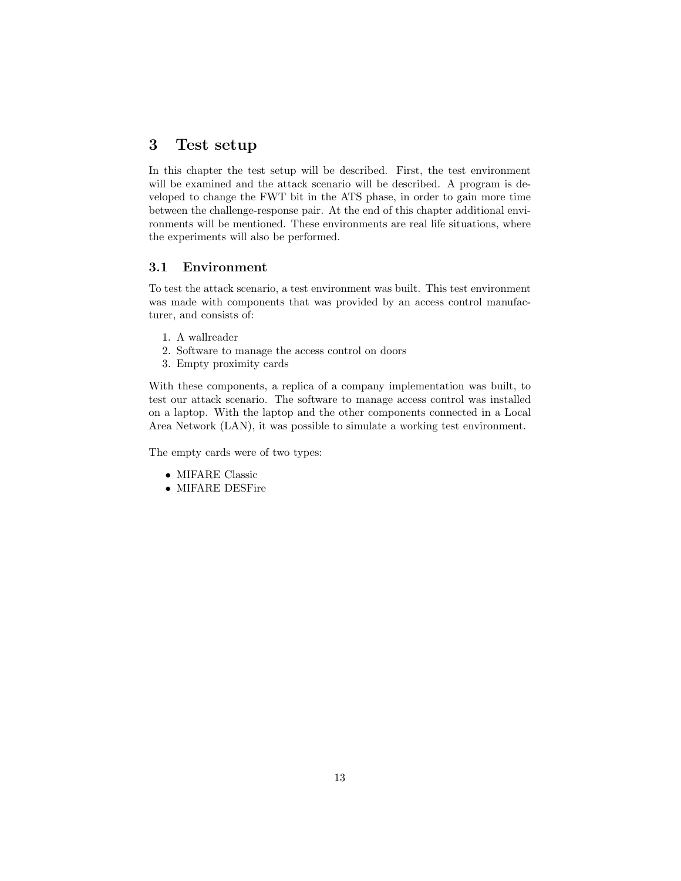# 3 Test setup

In this chapter the test setup will be described. First, the test environment will be examined and the attack scenario will be described. A program is developed to change the FWT bit in the ATS phase, in order to gain more time between the challenge-response pair. At the end of this chapter additional environments will be mentioned. These environments are real life situations, where the experiments will also be performed.

### 3.1 Environment

To test the attack scenario, a test environment was built. This test environment was made with components that was provided by an access control manufacturer, and consists of:

- 1. A wallreader
- 2. Software to manage the access control on doors
- 3. Empty proximity cards

With these components, a replica of a company implementation was built, to test our attack scenario. The software to manage access control was installed on a laptop. With the laptop and the other components connected in a Local Area Network (LAN), it was possible to simulate a working test environment.

The empty cards were of two types:

- MIFARE Classic
- MIFARE DESFire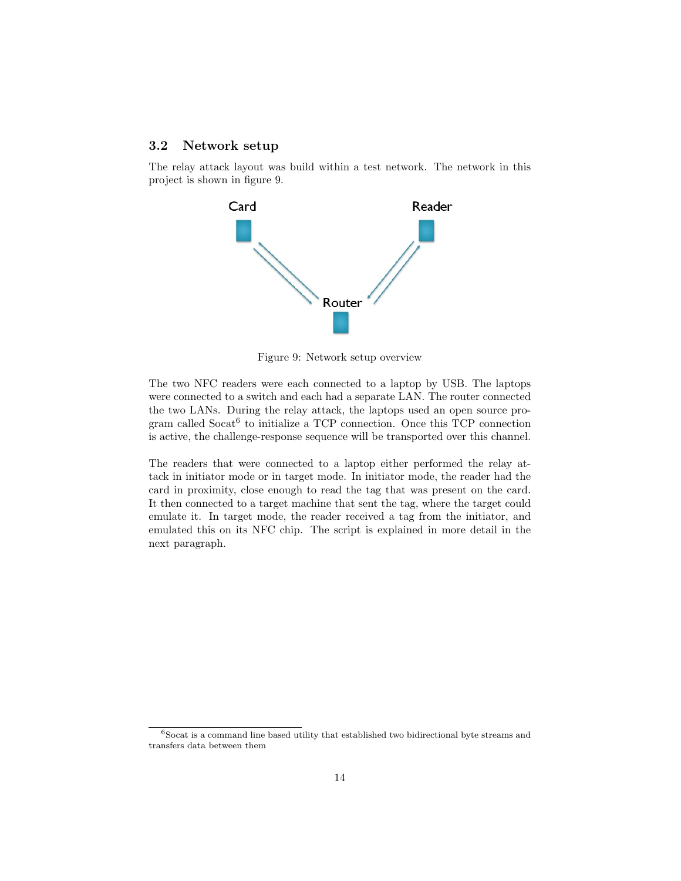### 3.2 Network setup

The relay attack layout was build within a test network. The network in this project is shown in figure 9.



Figure 9: Network setup overview

The two NFC readers were each connected to a laptop by USB. The laptops were connected to a switch and each had a separate LAN. The router connected the two LANs. During the relay attack, the laptops used an open source program called Socat<sup>6</sup> to initialize a TCP connection. Once this TCP connection is active, the challenge-response sequence will be transported over this channel.

The readers that were connected to a laptop either performed the relay attack in initiator mode or in target mode. In initiator mode, the reader had the card in proximity, close enough to read the tag that was present on the card. It then connected to a target machine that sent the tag, where the target could emulate it. In target mode, the reader received a tag from the initiator, and emulated this on its NFC chip. The script is explained in more detail in the next paragraph.

 $6$ Socat is a command line based utility that established two bidirectional byte streams and transfers data between them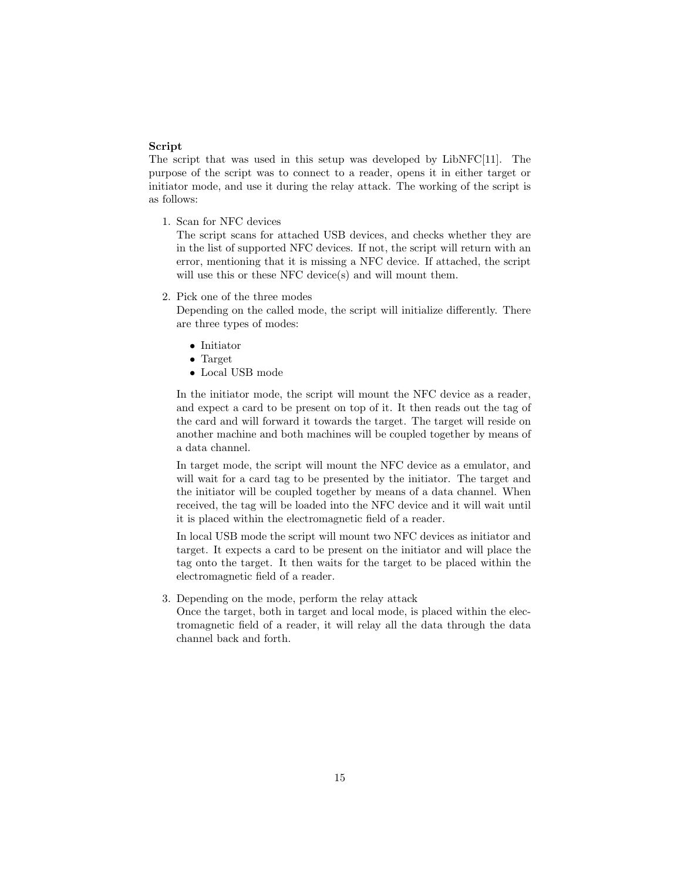#### Script

The script that was used in this setup was developed by LibNFC[11]. The purpose of the script was to connect to a reader, opens it in either target or initiator mode, and use it during the relay attack. The working of the script is as follows:

1. Scan for NFC devices

The script scans for attached USB devices, and checks whether they are in the list of supported NFC devices. If not, the script will return with an error, mentioning that it is missing a NFC device. If attached, the script will use this or these NFC device(s) and will mount them.

2. Pick one of the three modes

Depending on the called mode, the script will initialize differently. There are three types of modes:

- Initiator
- Target
- Local USB mode

In the initiator mode, the script will mount the NFC device as a reader, and expect a card to be present on top of it. It then reads out the tag of the card and will forward it towards the target. The target will reside on another machine and both machines will be coupled together by means of a data channel.

In target mode, the script will mount the NFC device as a emulator, and will wait for a card tag to be presented by the initiator. The target and the initiator will be coupled together by means of a data channel. When received, the tag will be loaded into the NFC device and it will wait until it is placed within the electromagnetic field of a reader.

In local USB mode the script will mount two NFC devices as initiator and target. It expects a card to be present on the initiator and will place the tag onto the target. It then waits for the target to be placed within the electromagnetic field of a reader.

3. Depending on the mode, perform the relay attack

Once the target, both in target and local mode, is placed within the electromagnetic field of a reader, it will relay all the data through the data channel back and forth.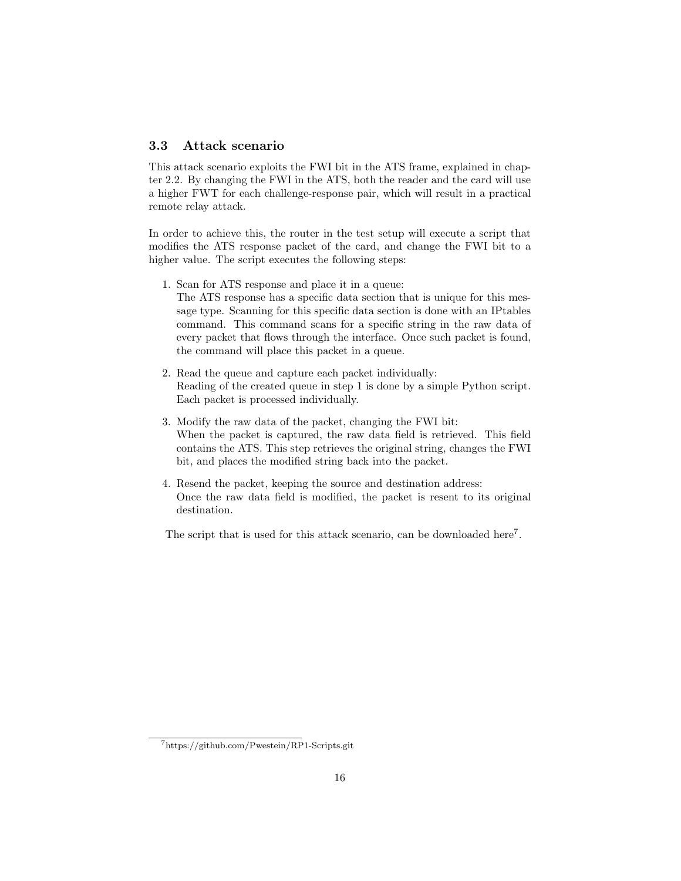### 3.3 Attack scenario

This attack scenario exploits the FWI bit in the ATS frame, explained in chapter 2.2. By changing the FWI in the ATS, both the reader and the card will use a higher FWT for each challenge-response pair, which will result in a practical remote relay attack.

In order to achieve this, the router in the test setup will execute a script that modifies the ATS response packet of the card, and change the FWI bit to a higher value. The script executes the following steps:

1. Scan for ATS response and place it in a queue:

The ATS response has a specific data section that is unique for this message type. Scanning for this specific data section is done with an IPtables command. This command scans for a specific string in the raw data of every packet that flows through the interface. Once such packet is found, the command will place this packet in a queue.

- 2. Read the queue and capture each packet individually: Reading of the created queue in step 1 is done by a simple Python script. Each packet is processed individually.
- 3. Modify the raw data of the packet, changing the FWI bit: When the packet is captured, the raw data field is retrieved. This field contains the ATS. This step retrieves the original string, changes the FWI bit, and places the modified string back into the packet.
- 4. Resend the packet, keeping the source and destination address: Once the raw data field is modified, the packet is resent to its original destination.

The script that is used for this attack scenario, can be downloaded here<sup>7</sup>.

<sup>7</sup>https://github.com/Pwestein/RP1-Scripts.git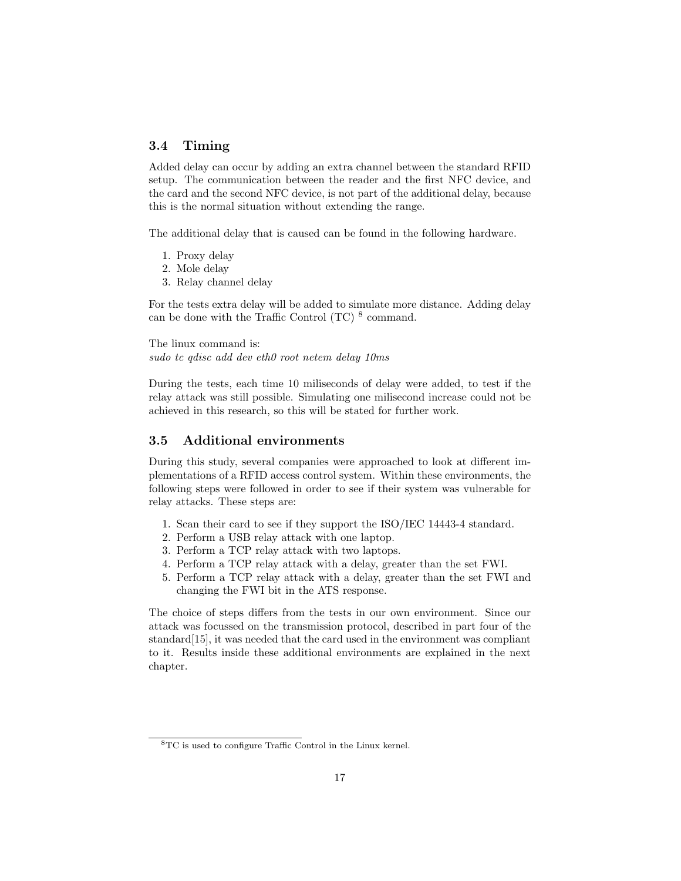### 3.4 Timing

Added delay can occur by adding an extra channel between the standard RFID setup. The communication between the reader and the first NFC device, and the card and the second NFC device, is not part of the additional delay, because this is the normal situation without extending the range.

The additional delay that is caused can be found in the following hardware.

- 1. Proxy delay
- 2. Mole delay
- 3. Relay channel delay

For the tests extra delay will be added to simulate more distance. Adding delay can be done with the Traffic Control  $(TC)$ <sup>8</sup> command.

The linux command is: sudo tc qdisc add dev eth0 root netem delay 10ms

During the tests, each time 10 miliseconds of delay were added, to test if the relay attack was still possible. Simulating one milisecond increase could not be achieved in this research, so this will be stated for further work.

### 3.5 Additional environments

During this study, several companies were approached to look at different implementations of a RFID access control system. Within these environments, the following steps were followed in order to see if their system was vulnerable for relay attacks. These steps are:

- 1. Scan their card to see if they support the ISO/IEC 14443-4 standard.
- 2. Perform a USB relay attack with one laptop.
- 3. Perform a TCP relay attack with two laptops.
- 4. Perform a TCP relay attack with a delay, greater than the set FWI.
- 5. Perform a TCP relay attack with a delay, greater than the set FWI and changing the FWI bit in the ATS response.

The choice of steps differs from the tests in our own environment. Since our attack was focussed on the transmission protocol, described in part four of the standard[15], it was needed that the card used in the environment was compliant to it. Results inside these additional environments are explained in the next chapter.

<sup>8</sup>TC is used to configure Traffic Control in the Linux kernel.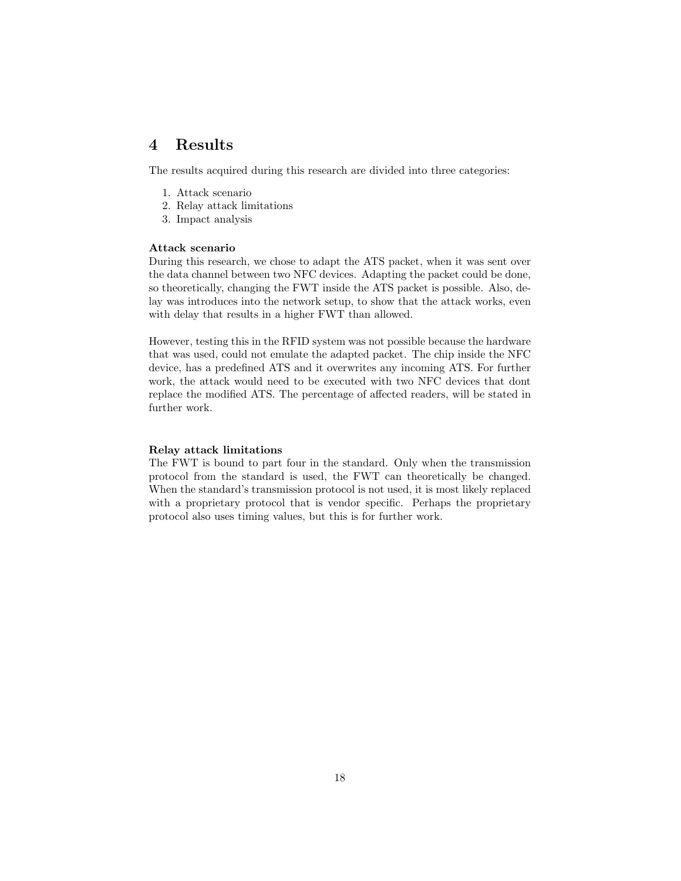## 4 Results

The results acquired during this research are divided into three categories:

- 1. Attack scenario
- 2. Relay attack limitations
- 3. Impact analysis

#### Attack scenario

During this research, we chose to adapt the ATS packet, when it was sent over the data channel between two NFC devices. Adapting the packet could be done, so theoretically, changing the FWT inside the ATS packet is possible. Also, delay was introduces into the network setup, to show that the attack works, even with delay that results in a higher FWT than allowed.

However, testing this in the RFID system was not possible because the hardware that was used, could not emulate the adapted packet. The chip inside the NFC device, has a predefined ATS and it overwrites any incoming ATS. For further work, the attack would need to be executed with two NFC devices that dont replace the modified ATS. The percentage of affected readers, will be stated in further work.

#### Relay attack limitations

The FWT is bound to part four in the standard. Only when the transmission protocol from the standard is used, the FWT can theoretically be changed. When the standard's transmission protocol is not used, it is most likely replaced with a proprietary protocol that is vendor specific. Perhaps the proprietary protocol also uses timing values, but this is for further work.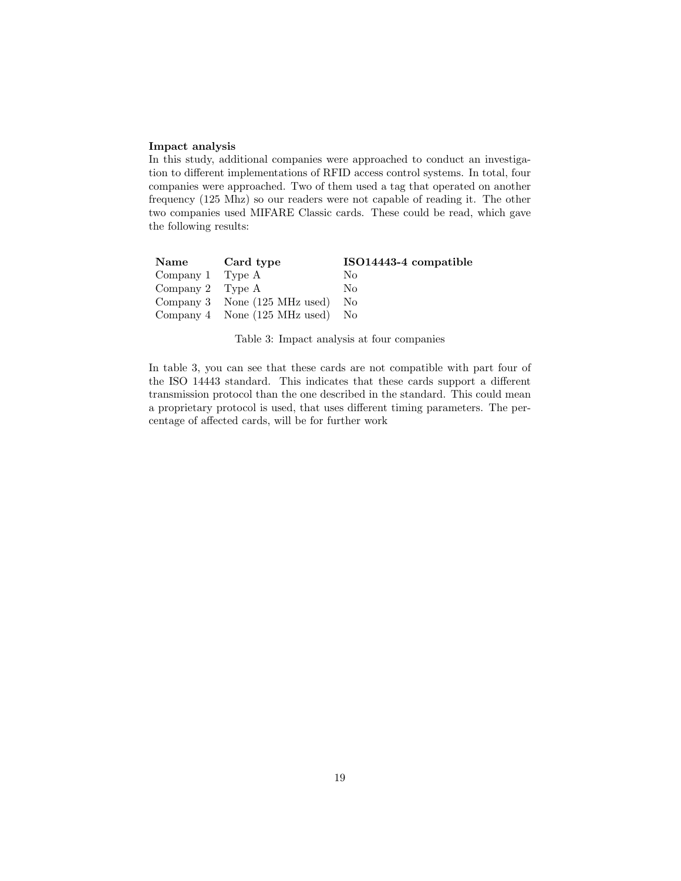#### Impact analysis

In this study, additional companies were approached to conduct an investigation to different implementations of RFID access control systems. In total, four companies were approached. Two of them used a tag that operated on another frequency (125 Mhz) so our readers were not capable of reading it. The other two companies used MIFARE Classic cards. These could be read, which gave the following results:

| Name               | Card type                                  | ISO14443-4 compatible |
|--------------------|--------------------------------------------|-----------------------|
| Company 1 Type $A$ |                                            | Nο                    |
| Company 2 Type $A$ |                                            | Nο                    |
|                    | Company 3 None (125 MHz used)              | N <sub>o</sub>        |
|                    | Company 4 None $(125 \text{ MHz used})$ No |                       |

Table 3: Impact analysis at four companies

In table 3, you can see that these cards are not compatible with part four of the ISO 14443 standard. This indicates that these cards support a different transmission protocol than the one described in the standard. This could mean a proprietary protocol is used, that uses different timing parameters. The percentage of affected cards, will be for further work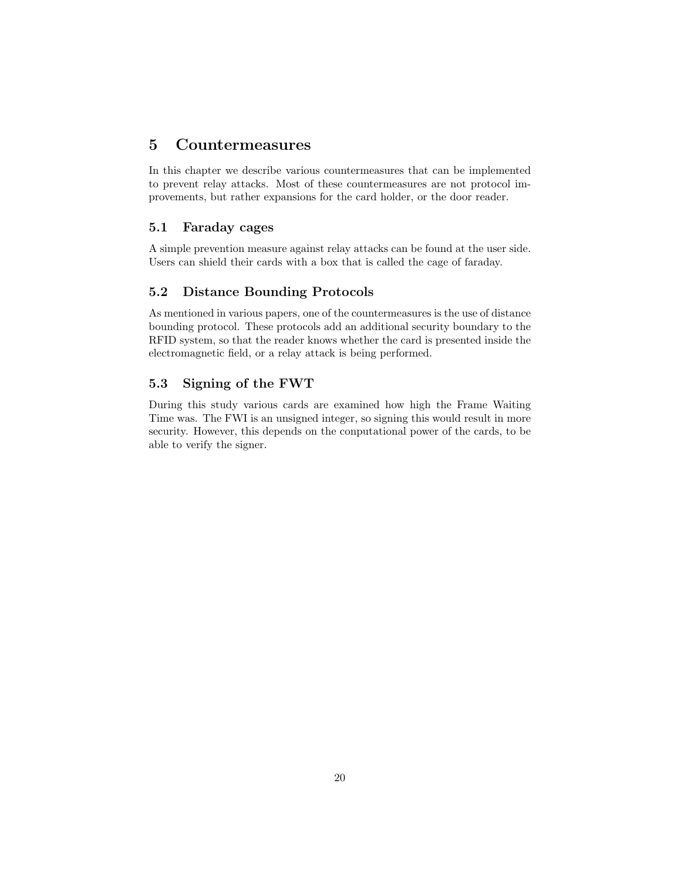# 5 Countermeasures

In this chapter we describe various countermeasures that can be implemented to prevent relay attacks. Most of these countermeasures are not protocol improvements, but rather expansions for the card holder, or the door reader.

### 5.1 Faraday cages

A simple prevention measure against relay attacks can be found at the user side. Users can shield their cards with a box that is called the cage of faraday.

### 5.2 Distance Bounding Protocols

As mentioned in various papers, one of the countermeasures is the use of distance bounding protocol. These protocols add an additional security boundary to the RFID system, so that the reader knows whether the card is presented inside the electromagnetic field, or a relay attack is being performed.

### 5.3 Signing of the FWT

During this study various cards are examined how high the Frame Waiting Time was. The FWI is an unsigned integer, so signing this would result in more security. However, this depends on the conputational power of the cards, to be able to verify the signer.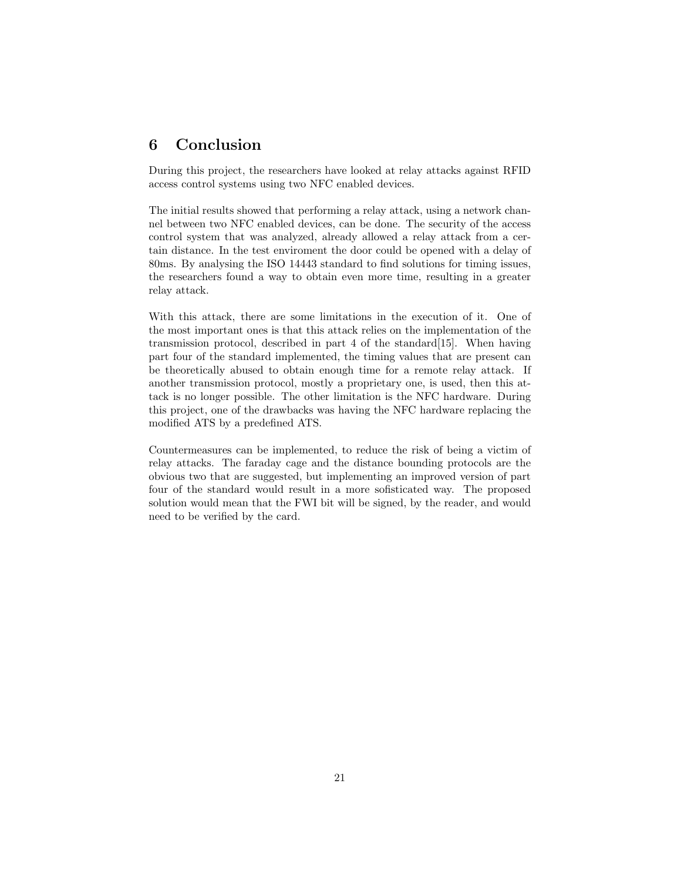# 6 Conclusion

During this project, the researchers have looked at relay attacks against RFID access control systems using two NFC enabled devices.

The initial results showed that performing a relay attack, using a network channel between two NFC enabled devices, can be done. The security of the access control system that was analyzed, already allowed a relay attack from a certain distance. In the test enviroment the door could be opened with a delay of 80ms. By analysing the ISO 14443 standard to find solutions for timing issues, the researchers found a way to obtain even more time, resulting in a greater relay attack.

With this attack, there are some limitations in the execution of it. One of the most important ones is that this attack relies on the implementation of the transmission protocol, described in part 4 of the standard[15]. When having part four of the standard implemented, the timing values that are present can be theoretically abused to obtain enough time for a remote relay attack. If another transmission protocol, mostly a proprietary one, is used, then this attack is no longer possible. The other limitation is the NFC hardware. During this project, one of the drawbacks was having the NFC hardware replacing the modified ATS by a predefined ATS.

Countermeasures can be implemented, to reduce the risk of being a victim of relay attacks. The faraday cage and the distance bounding protocols are the obvious two that are suggested, but implementing an improved version of part four of the standard would result in a more sofisticated way. The proposed solution would mean that the FWI bit will be signed, by the reader, and would need to be verified by the card.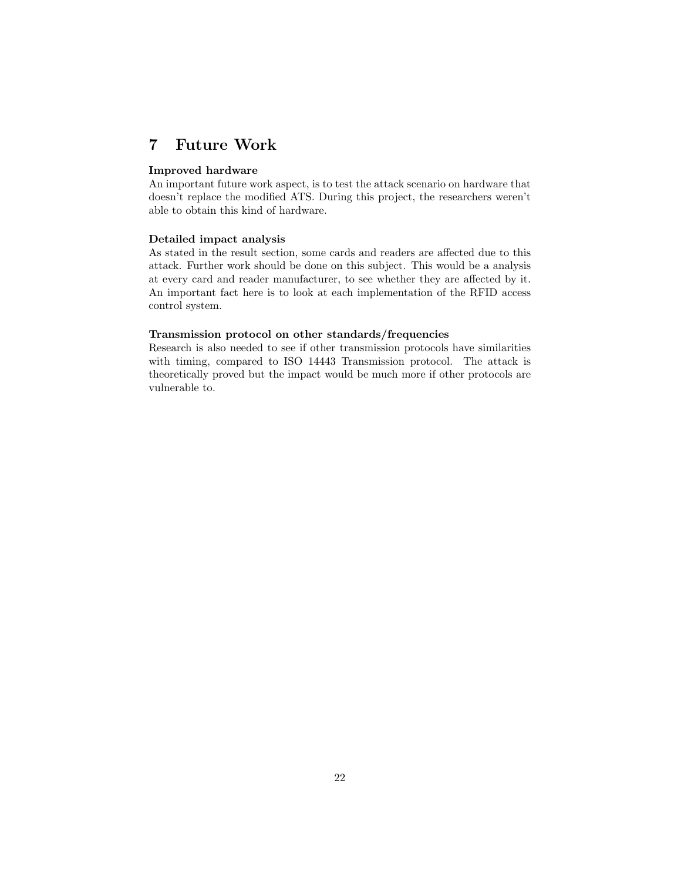## 7 Future Work

### Improved hardware

An important future work aspect, is to test the attack scenario on hardware that doesn't replace the modified ATS. During this project, the researchers weren't able to obtain this kind of hardware.

### Detailed impact analysis

As stated in the result section, some cards and readers are affected due to this attack. Further work should be done on this subject. This would be a analysis at every card and reader manufacturer, to see whether they are affected by it. An important fact here is to look at each implementation of the RFID access control system.

#### Transmission protocol on other standards/frequencies

Research is also needed to see if other transmission protocols have similarities with timing, compared to ISO 14443 Transmission protocol. The attack is theoretically proved but the impact would be much more if other protocols are vulnerable to.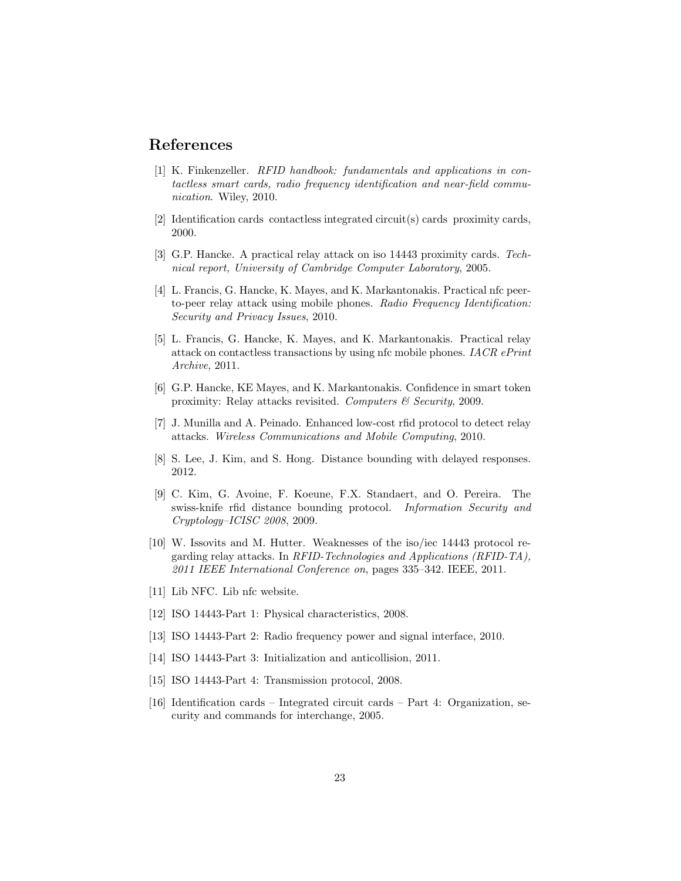### References

- [1] K. Finkenzeller. RFID handbook: fundamentals and applications in contactless smart cards, radio frequency identification and near-field communication. Wiley, 2010.
- [2] Identification cards contactless integrated circuit(s) cards proximity cards, 2000.
- [3] G.P. Hancke. A practical relay attack on iso 14443 proximity cards. Technical report, University of Cambridge Computer Laboratory, 2005.
- [4] L. Francis, G. Hancke, K. Mayes, and K. Markantonakis. Practical nfc peerto-peer relay attack using mobile phones. Radio Frequency Identification: Security and Privacy Issues, 2010.
- [5] L. Francis, G. Hancke, K. Mayes, and K. Markantonakis. Practical relay attack on contactless transactions by using nfc mobile phones. IACR ePrint Archive, 2011.
- [6] G.P. Hancke, KE Mayes, and K. Markantonakis. Confidence in smart token proximity: Relay attacks revisited. Computers  $\mathcal C$  Security, 2009.
- [7] J. Munilla and A. Peinado. Enhanced low-cost rfid protocol to detect relay attacks. Wireless Communications and Mobile Computing, 2010.
- [8] S. Lee, J. Kim, and S. Hong. Distance bounding with delayed responses. 2012.
- [9] C. Kim, G. Avoine, F. Koeune, F.X. Standaert, and O. Pereira. The swiss-knife rfid distance bounding protocol. Information Security and Cryptology–ICISC 2008, 2009.
- [10] W. Issovits and M. Hutter. Weaknesses of the iso/iec 14443 protocol regarding relay attacks. In RFID-Technologies and Applications (RFID-TA), 2011 IEEE International Conference on, pages 335–342. IEEE, 2011.
- [11] Lib NFC. Lib nfc website.
- [12] ISO 14443-Part 1: Physical characteristics, 2008.
- [13] ISO 14443-Part 2: Radio frequency power and signal interface, 2010.
- [14] ISO 14443-Part 3: Initialization and anticollision, 2011.
- [15] ISO 14443-Part 4: Transmission protocol, 2008.
- [16] Identification cards Integrated circuit cards Part 4: Organization, security and commands for interchange, 2005.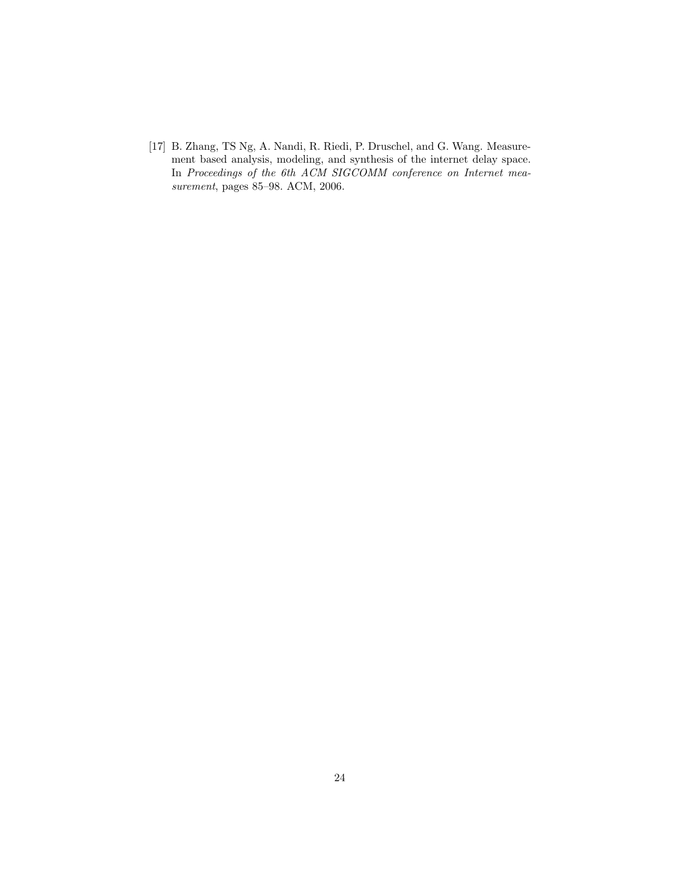[17] B. Zhang, TS Ng, A. Nandi, R. Riedi, P. Druschel, and G. Wang. Measurement based analysis, modeling, and synthesis of the internet delay space. In Proceedings of the 6th ACM SIGCOMM conference on Internet measurement, pages 85–98. ACM, 2006.